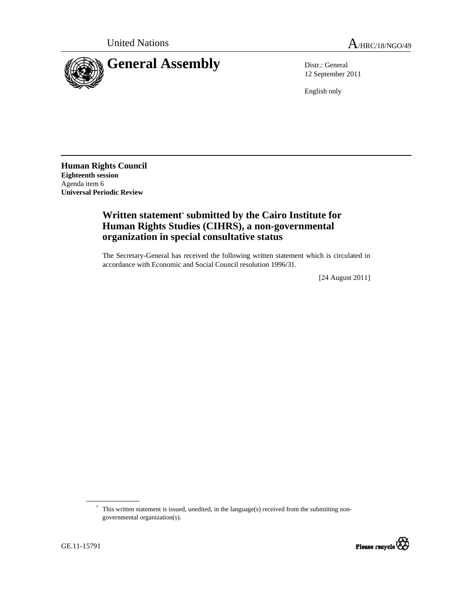

12 September 2011

English only

**Human Rights Council Eighteenth session**  Agenda item 6 **Universal Periodic Review** 

## **Written statement\* submitted by the Cairo Institute for Human Rights Studies (CIHRS), a non-governmental organization in special consultative status**

The Secretary-General has received the following written statement which is circulated in accordance with Economic and Social Council resolution 1996/31.

[24 August 2011]

<sup>\*</sup> This written statement is issued, unedited, in the language(s) received from the submitting nongovernmental organization(s).

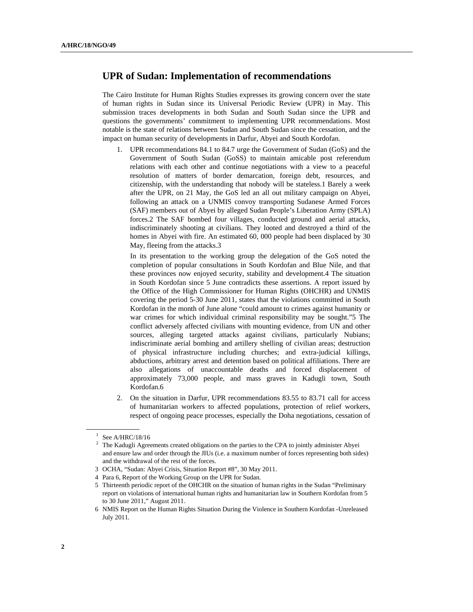## **UPR of Sudan: Implementation of recommendations**

The Cairo Institute for Human Rights Studies expresses its growing concern over the state of human rights in Sudan since its Universal Periodic Review (UPR) in May. This submission traces developments in both Sudan and South Sudan since the UPR and questions the governments' commitment to implementing UPR recommendations. Most notable is the state of relations between Sudan and South Sudan since the cessation, and the impact on human security of developments in Darfur, Abyei and South Kordofan.

1. UPR recommendations 84.1 to 84.7 urge the Government of Sudan (GoS) and the Government of South Sudan (GoSS) to maintain amicable post referendum relations with each other and continue negotiations with a view to a peaceful resolution of matters of border demarcation, foreign debt, resources, and citizenship, with the understanding that nobody will be stateless.1 Barely a week after the UPR, on 21 May, the GoS led an all out military campaign on Abyei, following an attack on a UNMIS convoy transporting Sudanese Armed Forces (SAF) members out of Abyei by alleged Sudan People's Liberation Army (SPLA) forces.2 The SAF bombed four villages, conducted ground and aerial attacks, indiscriminately shooting at civilians. They looted and destroyed a third of the homes in Abyei with fire. An estimated 60, 000 people had been displaced by 30 May, fleeing from the attacks.3

In its presentation to the working group the delegation of the GoS noted the completion of popular consultations in South Kordofan and Blue Nile, and that these provinces now enjoyed security, stability and development.4 The situation in South Kordofan since 5 June contradicts these assertions. A report issued by the Office of the High Commissioner for Human Rights (OHCHR) and UNMIS covering the period 5-30 June 2011, states that the violations committed in South Kordofan in the month of June alone "could amount to crimes against humanity or war crimes for which individual criminal responsibility may be sought."5 The conflict adversely affected civilians with mounting evidence, from UN and other sources, alleging targeted attacks against civilians, particularly Nubians; indiscriminate aerial bombing and artillery shelling of civilian areas; destruction of physical infrastructure including churches; and extra-judicial killings, abductions, arbitrary arrest and detention based on political affiliations. There are also allegations of unaccountable deaths and forced displacement of approximately 73,000 people, and mass graves in Kadugli town, South Kordofan.6

2. On the situation in Darfur, UPR recommendations 83.55 to 83.71 call for access of humanitarian workers to affected populations, protection of relief workers, respect of ongoing peace processes, especially the Doha negotiations, cessation of

 $1$  See A/HRC/18/16

 $2$  The Kadugli Agreements created obligations on the parties to the CPA to jointly administer Abyei and ensure law and order through the JIUs (i.e. a maximum number of forces representing both sides) and the withdrawal of the rest of the forces.

 <sup>3</sup> OCHA, "Sudan: Abyei Crisis, Situation Report #8", 30 May 2011.

 <sup>4</sup> Para 6, Report of the Working Group on the UPR for Sudan.

 <sup>5</sup> Thirteenth periodic report of the OHCHR on the situation of human rights in the Sudan "Preliminary report on violations of international human rights and humanitarian law in Southern Kordofan from 5 to 30 June 2011," August 2011.

 <sup>6</sup> NMIS Report on the Human Rights Situation During the Violence in Southern Kordofan -Unreleased July 2011.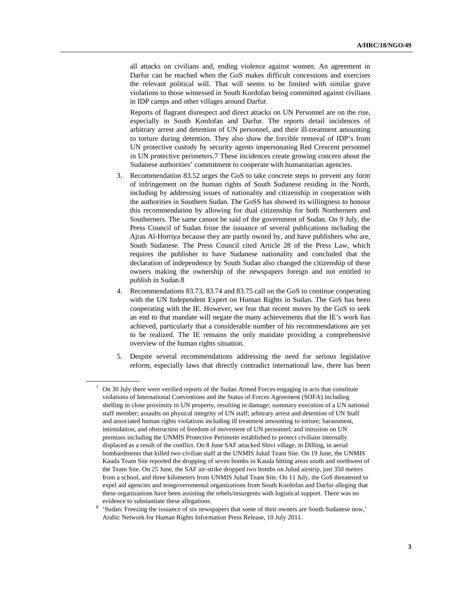all attacks on civilians and, ending violence against women. An agreement in Darfur can be reached when the GoS makes difficult concessions and exercises the relevant political will. That will seems to be limited with similar grave violations to those witnessed in South Kordofan being committed against civilians in IDP camps and other villages around Darfur.

Reports of flagrant disrespect and direct attacks on UN Personnel are on the rise, especially in South Kordofan and Darfur. The reports detail incidences of arbitrary arrest and detention of UN personnel, and their ill-treatment amounting to torture during detention. They also show the forcible removal of IDP's from UN protective custody by security agents impersonating Red Crescent personnel in UN protective perimeters.7 These incidences create growing concern about the Sudanese authorities' commitment to cooperate with humanitarian agencies.

- 3. Recommendation 83.52 urges the GoS to take concrete steps to prevent any form of infringement on the human rights of South Sudanese residing in the North, including by addressing issues of nationality and citizenship in cooperation with the authorities in Southern Sudan. The GoSS has showed its willingness to honour this recommendation by allowing for dual citizenship for both Northerners and Southerners. The same cannot be said of the government of Sudan. On 9 July, the Press Council of Sudan froze the issuance of several publications including the Ajras Al-Horriya because they are partly owned by, and have publishers who are, South Sudanese. The Press Council cited Article 28 of the Press Law, which requires the publisher to have Sudanese nationality and concluded that the declaration of independence by South Sudan also changed the citizenship of these owners making the ownership of the newspapers foreign and not entitled to publish in Sudan.8
- 4. Recommendations 83.73, 83.74 and 83.75 call on the GoS to continue cooperating with the UN Independent Expert on Human Rights in Sudan. The GoS has been cooperating with the IE. However, we fear that recent moves by the GoS to seek an end to that mandate will negate the many achievements that the IE's work has achieved, particularly that a considerable number of his recommendations are yet to be realized. The IE remains the only mandate providing a comprehensive overview of the human rights situation.
- 5. Despite several recommendations addressing the need for serious legislative reform, especially laws that directly contradict international law, there has been

<sup>7</sup> On 30 July there were verified reports of the Sudan Armed Forces engaging in acts that constitute violations of International Conventions and the Status of Forces Agreement (SOFA) including shelling in close proximity to UN property, resulting in damage; summary execution of a UN national staff member; assaults on physical integrity of UN staff; arbitrary arrest and detention of UN Staff and associated human rights violations including ill treatment amounting to torture; harassment, intimidation, and obstruction of freedom of movement of UN personnel; and intrusion on UN premises including the UNMIS Protective Perimeter established to protect civilians internally displaced as a result of the conflict. On 8 June SAF attacked Shivi village, in Dilling, in aerial bombardments that killed two civilian staff at the UNMIS Julud Team Site. On 19 June, the UNMIS Kauda Team Site reported the dropping of seven bombs in Kauda hitting areas south and northwest of the Team Site. On 25 June, the SAF air-strike dropped two bombs on Julud airstrip, just 350 meters from a school, and three kilometers from UNMIS Julud Team Site. On 11 July, the GoS threatened to expel aid agencies and nongovernmental organizations from South Kordofan and Darfur alleging that these organizations have been assisting the rebels/insurgents with logistical support. There was no evidence to substantiate these allegations.

 <sup>&#</sup>x27;Sudan: Freezing the issuance of six newspapers that some of their owners are South Sudanese now,' Arabic Network for Human Rights Information Press Release, 10 July 2011.